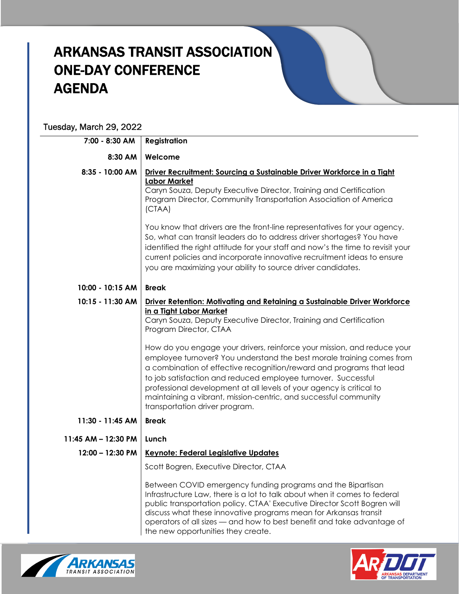## ARKANSAS TRANSIT ASSOCIATION ONE-DAY CONFERENCE AGENDA

## Tuesday, March 29, 2022

| 7:00 - 8:30 AM      | <b>Registration</b>                                                                                                                                                                                                                                                                                                                                                                                                                                                                                                                                                                                                                                                             |
|---------------------|---------------------------------------------------------------------------------------------------------------------------------------------------------------------------------------------------------------------------------------------------------------------------------------------------------------------------------------------------------------------------------------------------------------------------------------------------------------------------------------------------------------------------------------------------------------------------------------------------------------------------------------------------------------------------------|
| 8:30 AM             | Welcome                                                                                                                                                                                                                                                                                                                                                                                                                                                                                                                                                                                                                                                                         |
| 8:35 - 10:00 AM     | Driver Recruitment: Sourcing a Sustainable Driver Workforce in a Tight<br><b>Labor Market</b><br>Caryn Souza, Deputy Executive Director, Training and Certification<br>Program Director, Community Transportation Association of America<br>(CTAA)<br>You know that drivers are the front-line representatives for your agency.<br>So, what can transit leaders do to address driver shortages? You have<br>identified the right attitude for your staff and now's the time to revisit your<br>current policies and incorporate innovative recruitment ideas to ensure<br>you are maximizing your ability to source driver candidates.                                          |
| 10:00 - 10:15 AM    | <b>Break</b>                                                                                                                                                                                                                                                                                                                                                                                                                                                                                                                                                                                                                                                                    |
| 10:15 - 11:30 AM    | Driver Retention: Motivating and Retaining a Sustainable Driver Workforce<br>in a Tight Labor Market<br>Caryn Souza, Deputy Executive Director, Training and Certification<br>Program Director, CTAA<br>How do you engage your drivers, reinforce your mission, and reduce your<br>employee turnover? You understand the best morale training comes from<br>a combination of effective recognition/reward and programs that lead<br>to job satisfaction and reduced employee turnover. Successful<br>professional development at all levels of your agency is critical to<br>maintaining a vibrant, mission-centric, and successful community<br>transportation driver program. |
| 11:30 - 11:45 AM    | <b>Break</b>                                                                                                                                                                                                                                                                                                                                                                                                                                                                                                                                                                                                                                                                    |
| 11:45 AM - 12:30 PM | Lunch                                                                                                                                                                                                                                                                                                                                                                                                                                                                                                                                                                                                                                                                           |
| $12:00 - 12:30$ PM  | <b>Keynote: Federal Legislative Updates</b><br>Scott Bogren, Executive Director, CTAA<br>Between COVID emergency funding programs and the Bipartisan<br>Infrastructure Law, there is a lot to talk about when it comes to federal<br>public transportation policy. CTAA' Executive Director Scott Bogren will<br>discuss what these innovative programs mean for Arkansas transit<br>operators of all sizes - and how to best benefit and take advantage of<br>the new opportunities they create.                                                                                                                                                                               |